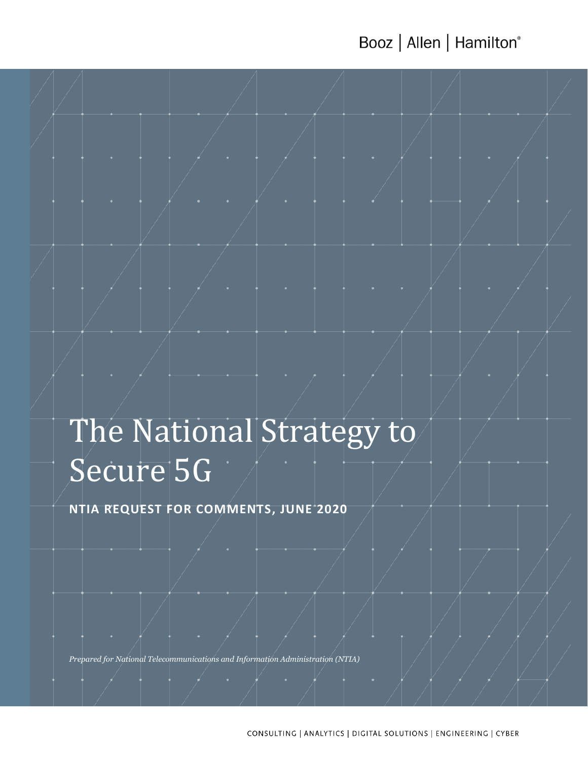Booz | Allen | Hamilton®

# The National Strategy to Secure 5G

**NTIA REQUEST FOR COMMENTS, JUNE 2020**

*Prepared for National Telecommunications and Information Administration (NTIA)*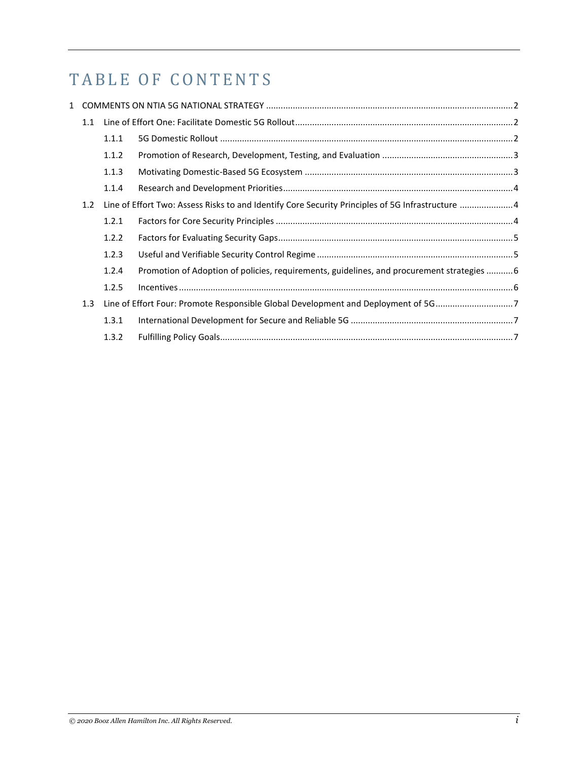# TABLE OF CONTENTS

| 1.1 |                                                                                   |                                                                                                  |  |
|-----|-----------------------------------------------------------------------------------|--------------------------------------------------------------------------------------------------|--|
|     | 1.1.1                                                                             |                                                                                                  |  |
|     | 1.1.2                                                                             |                                                                                                  |  |
|     | 1.1.3                                                                             |                                                                                                  |  |
|     | 1.1.4                                                                             |                                                                                                  |  |
| 1.2 |                                                                                   | Line of Effort Two: Assess Risks to and Identify Core Security Principles of 5G Infrastructure 4 |  |
|     | 1.2.1                                                                             |                                                                                                  |  |
|     | 1.2.2                                                                             |                                                                                                  |  |
|     | 1.2.3                                                                             |                                                                                                  |  |
|     | 1.2.4                                                                             | Promotion of Adoption of policies, requirements, guidelines, and procurement strategies 6        |  |
|     | 1.2.5                                                                             |                                                                                                  |  |
| 1.3 | Line of Effort Four: Promote Responsible Global Development and Deployment of 5G7 |                                                                                                  |  |
|     | 1.3.1                                                                             |                                                                                                  |  |
|     | 1.3.2                                                                             |                                                                                                  |  |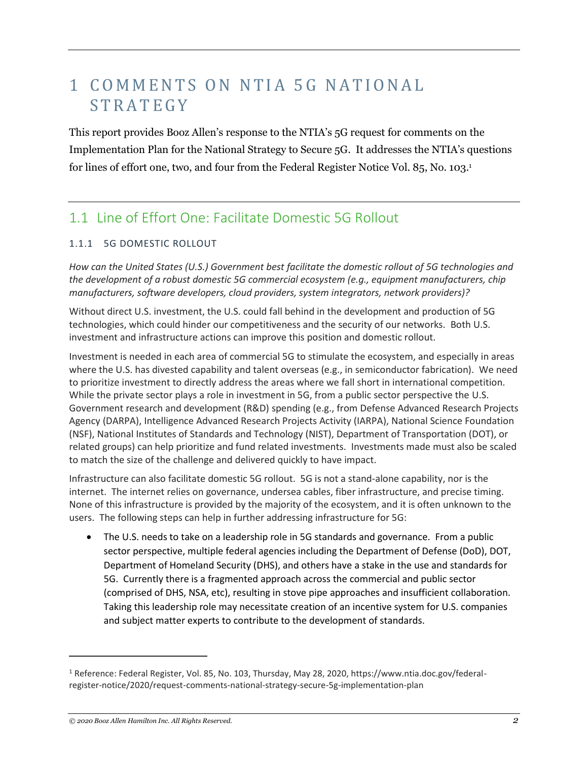# 1 COMMENTS ON NTIA 5G NATIONAL **STRATEGY**

This report provides Booz Allen's response to the NTIA's 5G request for comments on the Implementation Plan for the National Strategy to Secure 5G. It addresses the NTIA's questions for lines of effort one, two, and four from the Federal Register Notice Vol. 85, No. 103.<sup>1</sup>

### 1.1 Line of Effort One: Facilitate Domestic 5G Rollout

#### 1.1.1 5G DOMESTIC ROLLOUT

*How can the United States (U.S.) Government best facilitate the domestic rollout of 5G technologies and the development of a robust domestic 5G commercial ecosystem (e.g., equipment manufacturers, chip manufacturers, software developers, cloud providers, system integrators, network providers)?*

Without direct U.S. investment, the U.S. could fall behind in the development and production of 5G technologies, which could hinder our competitiveness and the security of our networks. Both U.S. investment and infrastructure actions can improve this position and domestic rollout.

Investment is needed in each area of commercial 5G to stimulate the ecosystem, and especially in areas where the U.S. has divested capability and talent overseas (e.g., in semiconductor fabrication). We need to prioritize investment to directly address the areas where we fall short in international competition. While the private sector plays a role in investment in 5G, from a public sector perspective the U.S. Government research and development (R&D) spending (e.g., from Defense Advanced Research Projects Agency (DARPA), Intelligence Advanced Research Projects Activity (IARPA), National Science Foundation (NSF), National Institutes of Standards and Technology (NIST), Department of Transportation (DOT), or related groups) can help prioritize and fund related investments. Investments made must also be scaled to match the size of the challenge and delivered quickly to have impact.

Infrastructure can also facilitate domestic 5G rollout. 5G is not a stand-alone capability, nor is the internet. The internet relies on governance, undersea cables, fiber infrastructure, and precise timing. None of this infrastructure is provided by the majority of the ecosystem, and it is often unknown to the users. The following steps can help in further addressing infrastructure for 5G:

• The U.S. needs to take on a leadership role in 5G standards and governance. From a public sector perspective, multiple federal agencies including the Department of Defense (DoD), DOT, Department of Homeland Security (DHS), and others have a stake in the use and standards for 5G. Currently there is a fragmented approach across the commercial and public sector (comprised of DHS, NSA, etc), resulting in stove pipe approaches and insufficient collaboration. Taking this leadership role may necessitate creation of an incentive system for U.S. companies and subject matter experts to contribute to the development of standards.

 $\overline{a}$ 

<sup>1</sup> Reference: Federal Register, Vol. 85, No. 103, Thursday, May 28, 2020, https://www.ntia.doc.gov/federalregister-notice/2020/request-comments-national-strategy-secure-5g-implementation-plan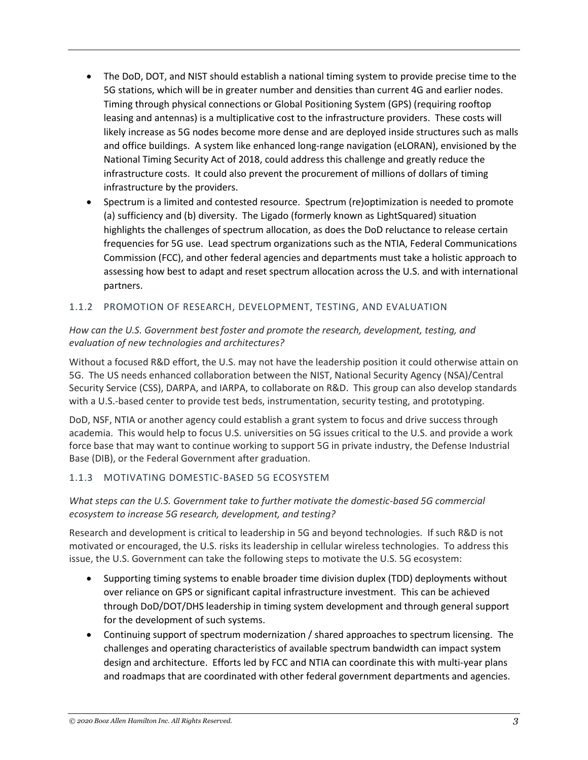- The DoD, DOT, and NIST should establish a national timing system to provide precise time to the 5G stations, which will be in greater number and densities than current 4G and earlier nodes. Timing through physical connections or Global Positioning System (GPS) (requiring rooftop leasing and antennas) is a multiplicative cost to the infrastructure providers. These costs will likely increase as 5G nodes become more dense and are deployed inside structures such as malls and office buildings. A system like enhanced long-range navigation (eLORAN), envisioned by the National Timing Security Act of 2018, could address this challenge and greatly reduce the infrastructure costs. It could also prevent the procurement of millions of dollars of timing infrastructure by the providers.
- Spectrum is a limited and contested resource. Spectrum (re)optimization is needed to promote (a) sufficiency and (b) diversity. The Ligado (formerly known as LightSquared) situation highlights the challenges of spectrum allocation, as does the DoD reluctance to release certain frequencies for 5G use. Lead spectrum organizations such as the NTIA, Federal Communications Commission (FCC), and other federal agencies and departments must take a holistic approach to assessing how best to adapt and reset spectrum allocation across the U.S. and with international partners.

#### 1.1.2 PROMOTION OF RESEARCH, DEVELOPMENT, TESTING, AND EVALUATION

#### *How can the U.S. Government best foster and promote the research, development, testing, and evaluation of new technologies and architectures?*

Without a focused R&D effort, the U.S. may not have the leadership position it could otherwise attain on 5G. The US needs enhanced collaboration between the NIST, National Security Agency (NSA)/Central Security Service (CSS), DARPA, and IARPA, to collaborate on R&D. This group can also develop standards with a U.S.-based center to provide test beds, instrumentation, security testing, and prototyping.

DoD, NSF, NTIA or another agency could establish a grant system to focus and drive success through academia. This would help to focus U.S. universities on 5G issues critical to the U.S. and provide a work force base that may want to continue working to support 5G in private industry, the Defense Industrial Base (DIB), or the Federal Government after graduation.

#### 1.1.3 MOTIVATING DOMESTIC-BASED 5G ECOSYSTEM

#### *What steps can the U.S. Government take to further motivate the domestic-based 5G commercial ecosystem to increase 5G research, development, and testing?*

Research and development is critical to leadership in 5G and beyond technologies. If such R&D is not motivated or encouraged, the U.S. risks its leadership in cellular wireless technologies. To address this issue, the U.S. Government can take the following steps to motivate the U.S. 5G ecosystem:

- Supporting timing systems to enable broader time division duplex (TDD) deployments without over reliance on GPS or significant capital infrastructure investment. This can be achieved through DoD/DOT/DHS leadership in timing system development and through general support for the development of such systems.
- Continuing support of spectrum modernization / shared approaches to spectrum licensing. The challenges and operating characteristics of available spectrum bandwidth can impact system design and architecture. Efforts led by FCC and NTIA can coordinate this with multi-year plans and roadmaps that are coordinated with other federal government departments and agencies.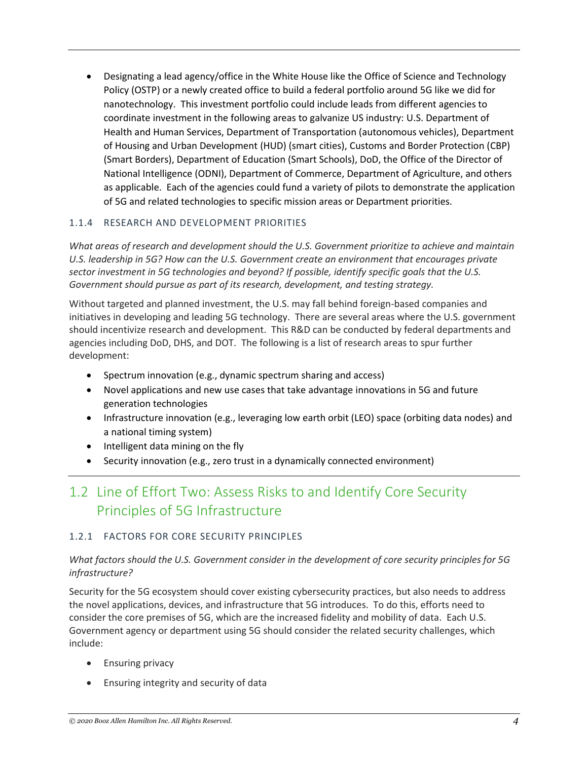• Designating a lead agency/office in the White House like the Office of Science and Technology Policy (OSTP) or a newly created office to build a federal portfolio around 5G like we did for nanotechnology. This investment portfolio could include leads from different agencies to coordinate investment in the following areas to galvanize US industry: U.S. Department of Health and Human Services, Department of Transportation (autonomous vehicles), Department of Housing and Urban Development (HUD) (smart cities), Customs and Border Protection (CBP) (Smart Borders), Department of Education (Smart Schools), DoD, the Office of the Director of National Intelligence (ODNI), Department of Commerce, Department of Agriculture, and others as applicable. Each of the agencies could fund a variety of pilots to demonstrate the application of 5G and related technologies to specific mission areas or Department priorities.

#### 1.1.4 RESEARCH AND DEVELOPMENT PRIORITIES

*What areas of research and development should the U.S. Government prioritize to achieve and maintain U.S. leadership in 5G? How can the U.S. Government create an environment that encourages private sector investment in 5G technologies and beyond? If possible, identify specific goals that the U.S. Government should pursue as part of its research, development, and testing strategy.*

Without targeted and planned investment, the U.S. may fall behind foreign-based companies and initiatives in developing and leading 5G technology. There are several areas where the U.S. government should incentivize research and development. This R&D can be conducted by federal departments and agencies including DoD, DHS, and DOT. The following is a list of research areas to spur further development:

- Spectrum innovation (e.g., dynamic spectrum sharing and access)
- Novel applications and new use cases that take advantage innovations in 5G and future generation technologies
- Infrastructure innovation (e.g., leveraging low earth orbit (LEO) space (orbiting data nodes) and a national timing system)
- Intelligent data mining on the fly
- Security innovation (e.g., zero trust in a dynamically connected environment)

## 1.2 Line of Effort Two: Assess Risks to and Identify Core Security Principles of 5G Infrastructure

#### 1.2.1 FACTORS FOR CORE SECURITY PRINCIPLES

#### *What factors should the U.S. Government consider in the development of core security principles for 5G infrastructure?*

Security for the 5G ecosystem should cover existing cybersecurity practices, but also needs to address the novel applications, devices, and infrastructure that 5G introduces. To do this, efforts need to consider the core premises of 5G, which are the increased fidelity and mobility of data. Each U.S. Government agency or department using 5G should consider the related security challenges, which include:

- Ensuring privacy
- Ensuring integrity and security of data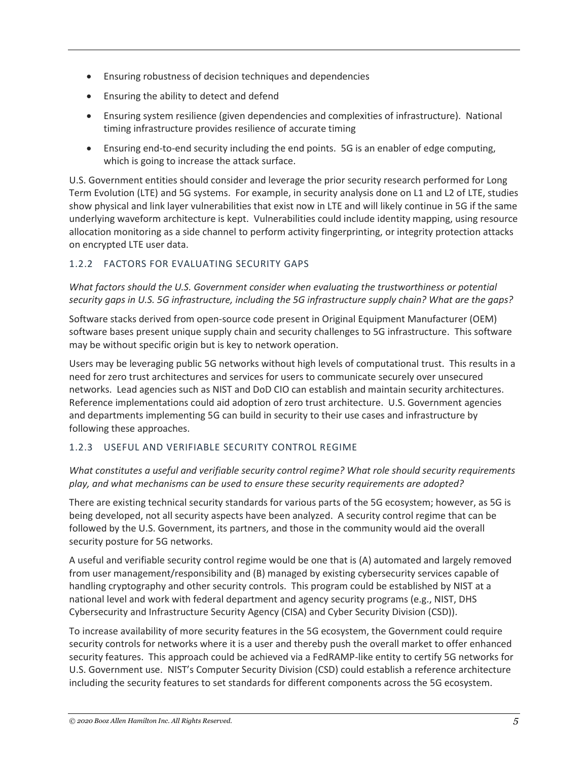- Ensuring robustness of decision techniques and dependencies
- Ensuring the ability to detect and defend
- Ensuring system resilience (given dependencies and complexities of infrastructure). National timing infrastructure provides resilience of accurate timing
- Ensuring end-to-end security including the end points. 5G is an enabler of edge computing, which is going to increase the attack surface.

U.S. Government entities should consider and leverage the prior security research performed for Long Term Evolution (LTE) and 5G systems. For example, in security analysis done on L1 and L2 of LTE, studies show physical and link layer vulnerabilities that exist now in LTE and will likely continue in 5G if the same underlying waveform architecture is kept. Vulnerabilities could include identity mapping, using resource allocation monitoring as a side channel to perform activity fingerprinting, or integrity protection attacks on encrypted LTE user data.

#### 1.2.2 FACTORS FOR EVALUATING SECURITY GAPS

*What factors should the U.S. Government consider when evaluating the trustworthiness or potential security gaps in U.S. 5G infrastructure, including the 5G infrastructure supply chain? What are the gaps?*

Software stacks derived from open-source code present in Original Equipment Manufacturer (OEM) software bases present unique supply chain and security challenges to 5G infrastructure. This software may be without specific origin but is key to network operation.

Users may be leveraging public 5G networks without high levels of computational trust. This results in a need for zero trust architectures and services for users to communicate securely over unsecured networks. Lead agencies such as NIST and DoD CIO can establish and maintain security architectures. Reference implementations could aid adoption of zero trust architecture. U.S. Government agencies and departments implementing 5G can build in security to their use cases and infrastructure by following these approaches.

#### 1.2.3 USEFUL AND VERIFIABLE SECURITY CONTROL REGIME

#### *What constitutes a useful and verifiable security control regime? What role should security requirements play, and what mechanisms can be used to ensure these security requirements are adopted?*

There are existing technical security standards for various parts of the 5G ecosystem; however, as 5G is being developed, not all security aspects have been analyzed. A security control regime that can be followed by the U.S. Government, its partners, and those in the community would aid the overall security posture for 5G networks.

A useful and verifiable security control regime would be one that is (A) automated and largely removed from user management/responsibility and (B) managed by existing cybersecurity services capable of handling cryptography and other security controls. This program could be established by NIST at a national level and work with federal department and agency security programs (e.g., NIST, DHS Cybersecurity and Infrastructure Security Agency (CISA) and Cyber Security Division (CSD)).

To increase availability of more security features in the 5G ecosystem, the Government could require security controls for networks where it is a user and thereby push the overall market to offer enhanced security features. This approach could be achieved via a FedRAMP-like entity to certify 5G networks for U.S. Government use. NIST's Computer Security Division (CSD) could establish a reference architecture including the security features to set standards for different components across the 5G ecosystem.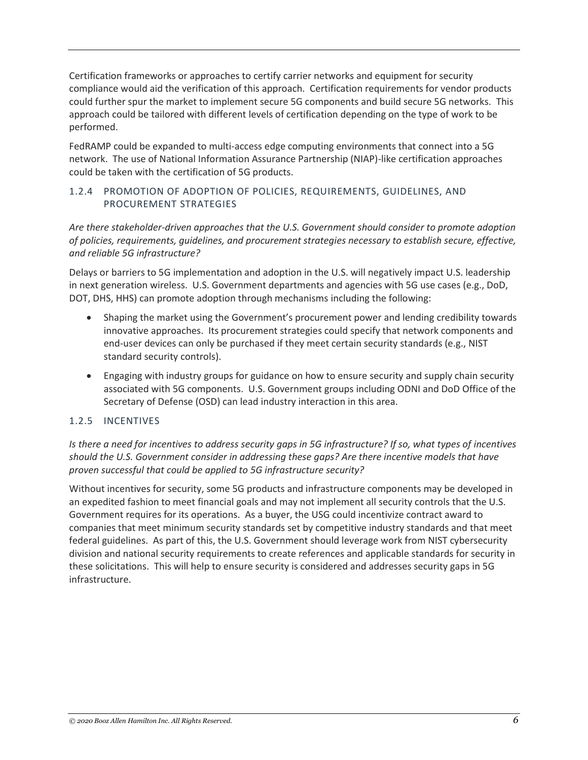Certification frameworks or approaches to certify carrier networks and equipment for security compliance would aid the verification of this approach. Certification requirements for vendor products could further spur the market to implement secure 5G components and build secure 5G networks. This approach could be tailored with different levels of certification depending on the type of work to be performed.

FedRAMP could be expanded to multi-access edge computing environments that connect into a 5G network. The use of National Information Assurance Partnership (NIAP)-like certification approaches could be taken with the certification of 5G products.

#### 1.2.4 PROMOTION OF ADOPTION OF POLICIES, REQUIREMENTS, GUIDELINES, AND PROCUREMENT STRATEGIES

*Are there stakeholder-driven approaches that the U.S. Government should consider to promote adoption of policies, requirements, guidelines, and procurement strategies necessary to establish secure, effective, and reliable 5G infrastructure?*

Delays or barriers to 5G implementation and adoption in the U.S. will negatively impact U.S. leadership in next generation wireless. U.S. Government departments and agencies with 5G use cases (e.g., DoD, DOT, DHS, HHS) can promote adoption through mechanisms including the following:

- Shaping the market using the Government's procurement power and lending credibility towards innovative approaches. Its procurement strategies could specify that network components and end-user devices can only be purchased if they meet certain security standards (e.g., NIST standard security controls).
- Engaging with industry groups for guidance on how to ensure security and supply chain security associated with 5G components. U.S. Government groups including ODNI and DoD Office of the Secretary of Defense (OSD) can lead industry interaction in this area.

#### 1.2.5 INCENTIVES

*Is there a need for incentives to address security gaps in 5G infrastructure? If so, what types of incentives should the U.S. Government consider in addressing these gaps? Are there incentive models that have proven successful that could be applied to 5G infrastructure security?*

Without incentives for security, some 5G products and infrastructure components may be developed in an expedited fashion to meet financial goals and may not implement all security controls that the U.S. Government requires for its operations. As a buyer, the USG could incentivize contract award to companies that meet minimum security standards set by competitive industry standards and that meet federal guidelines. As part of this, the U.S. Government should leverage work from NIST cybersecurity division and national security requirements to create references and applicable standards for security in these solicitations. This will help to ensure security is considered and addresses security gaps in 5G infrastructure.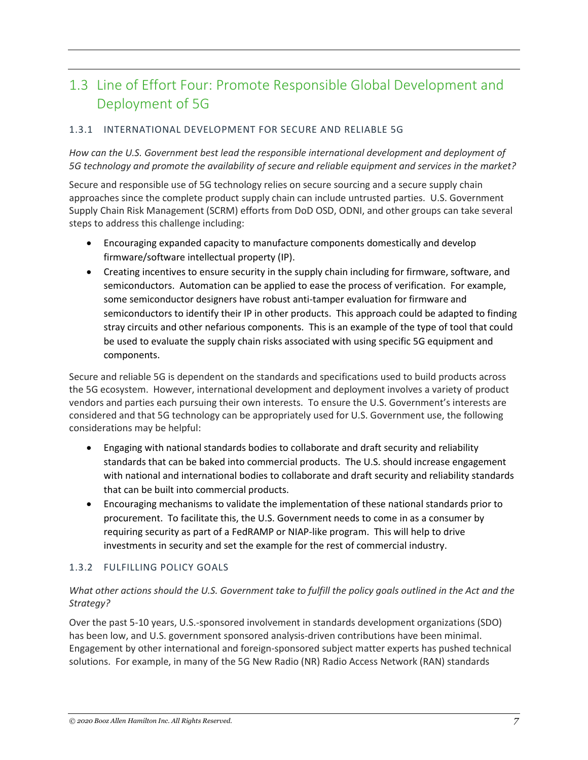## 1.3 Line of Effort Four: Promote Responsible Global Development and Deployment of 5G

#### 1.3.1 INTERNATIONAL DEVELOPMENT FOR SECURE AND RELIABLE 5G

*How can the U.S. Government best lead the responsible international development and deployment of 5G technology and promote the availability of secure and reliable equipment and services in the market?*

Secure and responsible use of 5G technology relies on secure sourcing and a secure supply chain approaches since the complete product supply chain can include untrusted parties. U.S. Government Supply Chain Risk Management (SCRM) efforts from DoD OSD, ODNI, and other groups can take several steps to address this challenge including:

- Encouraging expanded capacity to manufacture components domestically and develop firmware/software intellectual property (IP).
- Creating incentives to ensure security in the supply chain including for firmware, software, and semiconductors. Automation can be applied to ease the process of verification. For example, some semiconductor designers have robust anti-tamper evaluation for firmware and semiconductors to identify their IP in other products. This approach could be adapted to finding stray circuits and other nefarious components. This is an example of the type of tool that could be used to evaluate the supply chain risks associated with using specific 5G equipment and components.

Secure and reliable 5G is dependent on the standards and specifications used to build products across the 5G ecosystem. However, international development and deployment involves a variety of product vendors and parties each pursuing their own interests. To ensure the U.S. Government's interests are considered and that 5G technology can be appropriately used for U.S. Government use, the following considerations may be helpful:

- Engaging with national standards bodies to collaborate and draft security and reliability standards that can be baked into commercial products. The U.S. should increase engagement with national and international bodies to collaborate and draft security and reliability standards that can be built into commercial products.
- Encouraging mechanisms to validate the implementation of these national standards prior to procurement. To facilitate this, the U.S. Government needs to come in as a consumer by requiring security as part of a FedRAMP or NIAP-like program. This will help to drive investments in security and set the example for the rest of commercial industry.

#### 1.3.2 FULFILLING POLICY GOALS

#### *What other actions should the U.S. Government take to fulfill the policy goals outlined in the Act and the Strategy?*

Over the past 5-10 years, U.S.-sponsored involvement in standards development organizations (SDO) has been low, and U.S. government sponsored analysis-driven contributions have been minimal. Engagement by other international and foreign-sponsored subject matter experts has pushed technical solutions. For example, in many of the 5G New Radio (NR) Radio Access Network (RAN) standards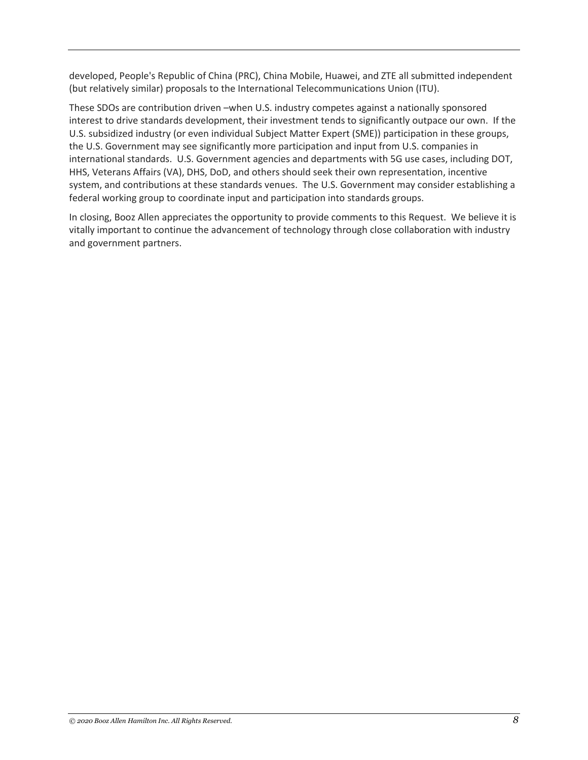developed, People's Republic of China (PRC), China Mobile, Huawei, and ZTE all submitted independent (but relatively similar) proposals to the International Telecommunications Union (ITU).

These SDOs are contribution driven –when U.S. industry competes against a nationally sponsored interest to drive standards development, their investment tends to significantly outpace our own. If the U.S. subsidized industry (or even individual Subject Matter Expert (SME)) participation in these groups, the U.S. Government may see significantly more participation and input from U.S. companies in international standards. U.S. Government agencies and departments with 5G use cases, including DOT, HHS, Veterans Affairs (VA), DHS, DoD, and others should seek their own representation, incentive system, and contributions at these standards venues. The U.S. Government may consider establishing a federal working group to coordinate input and participation into standards groups.

In closing, Booz Allen appreciates the opportunity to provide comments to this Request. We believe it is vitally important to continue the advancement of technology through close collaboration with industry and government partners.